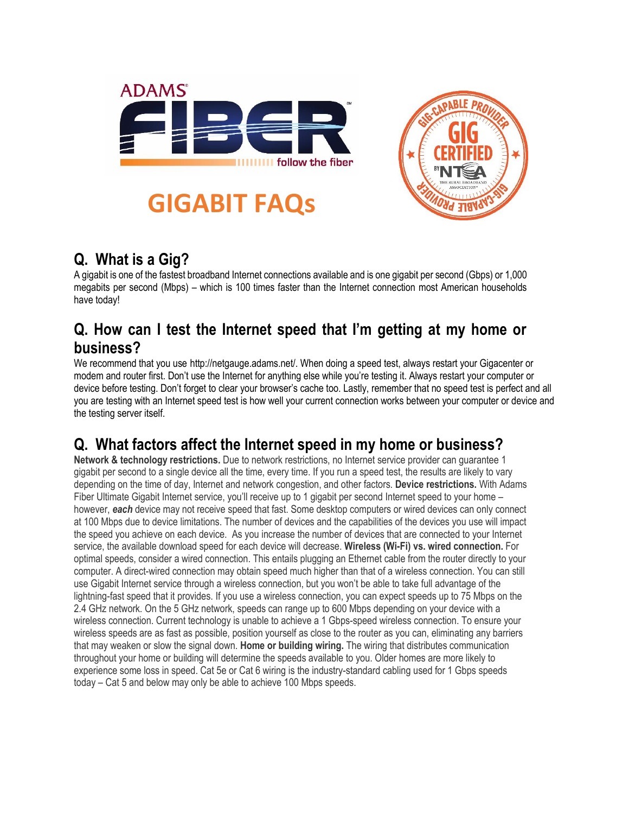

**GIGABIT FAQs**



# **Q. What is a Gig?**

A gigabit is one of the fastest broadband Internet connections available and is one gigabit per second (Gbps) or 1,000 megabits per second (Mbps) – which is 100 times faster than the Internet connection most American households have today!

### **Q. How can I test the Internet speed that I'm getting at my home or business?**

We recommend that you use http://netgauge.adams.net/. When doing a speed test, always restart your Gigacenter or modem and router first. Don't use the Internet for anything else while you're testing it. Always restart your computer or device before testing. Don't forget to clear your browser's cache too. Lastly, remember that no speed test is perfect and all you are testing with an Internet speed test is how well your current connection works between your computer or device and the testing server itself.

# **Q. What factors affect the Internet speed in my home or business?**

**Network & technology restrictions.** Due to network restrictions, no Internet service provider can guarantee 1 gigabit per second to a single device all the time, every time. If you run a speed test, the results are likely to vary depending on the time of day, Internet and network congestion, and other factors. **Device restrictions.** With Adams Fiber Ultimate Gigabit Internet service, you'll receive up to 1 gigabit per second Internet speed to your home – however, *each* device may not receive speed that fast. Some desktop computers or wired devices can only connect at 100 Mbps due to device limitations. The number of devices and the capabilities of the devices you use will impact the speed you achieve on each device. As you increase the number of devices that are connected to your Internet service, the available download speed for each device will decrease. **Wireless (Wi-Fi) vs. wired connection.** For optimal speeds, consider a wired connection. This entails plugging an Ethernet cable from the router directly to your computer. A direct-wired connection may obtain speed much higher than that of a wireless connection. You can still use Gigabit Internet service through a wireless connection, but you won't be able to take full advantage of the lightning-fast speed that it provides. If you use a wireless connection, you can expect speeds up to 75 Mbps on the 2.4 GHz network. On the 5 GHz network, speeds can range up to 600 Mbps depending on your device with a wireless connection. Current technology is unable to achieve a 1 Gbps-speed wireless connection. To ensure your wireless speeds are as fast as possible, position yourself as close to the router as you can, eliminating any barriers that may weaken or slow the signal down. **Home or building wiring.** The wiring that distributes communication throughout your home or building will determine the speeds available to you. Older homes are more likely to experience some loss in speed. Cat 5e or Cat 6 wiring is the industry-standard cabling used for 1 Gbps speeds today – Cat 5 and below may only be able to achieve 100 Mbps speeds.